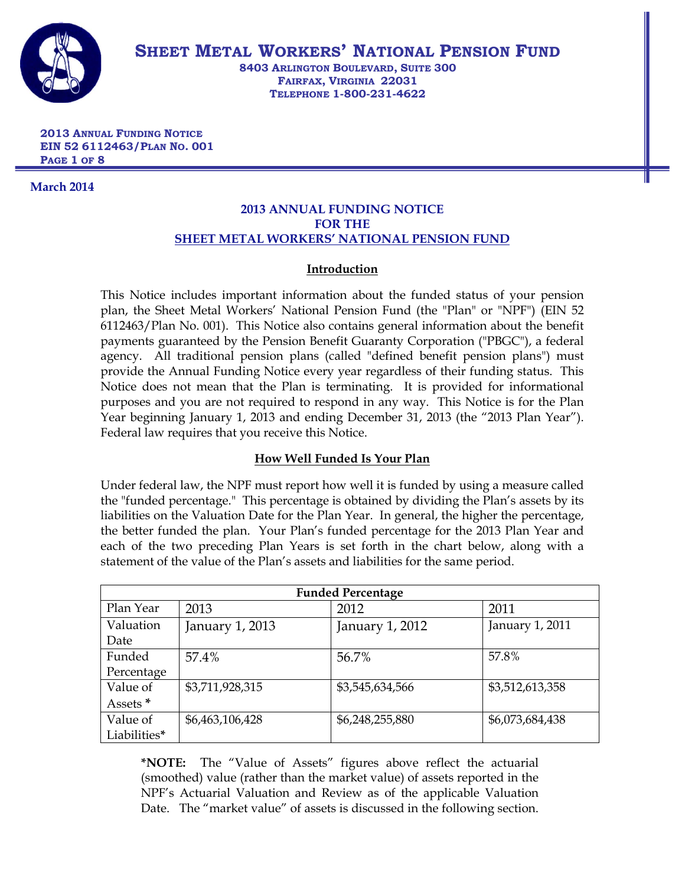

**SHEET METAL WORKERS' NATIONAL PENSION FUND**

**8403 ARLINGTON BOULEVARD, SUITE 300 FAIRFAX, VIRGINIA 22031 TELEPHONE 1-800-231-4622**

**2013 ANNUAL FUNDING NOTICE EIN 52 6112463/PLAN NO. 001 PAGE 1 OF 8**

**March 2014**

## **2013 ANNUAL FUNDING NOTICE FOR THE SHEET METAL WORKERS' NATIONAL PENSION FUND**

# **Introduction**

This Notice includes important information about the funded status of your pension plan, the Sheet Metal Workers' National Pension Fund (the "Plan" or "NPF") (EIN 52 6112463/Plan No. 001). This Notice also contains general information about the benefit payments guaranteed by the Pension Benefit Guaranty Corporation ("PBGC"), a federal agency. All traditional pension plans (called "defined benefit pension plans") must provide the Annual Funding Notice every year regardless of their funding status. This Notice does not mean that the Plan is terminating. It is provided for informational purposes and you are not required to respond in any way. This Notice is for the Plan Year beginning January 1, 2013 and ending December 31, 2013 (the "2013 Plan Year"). Federal law requires that you receive this Notice.

# **How Well Funded Is Your Plan**

Under federal law, the NPF must report how well it is funded by using a measure called the "funded percentage." This percentage is obtained by dividing the Plan's assets by its liabilities on the Valuation Date for the Plan Year. In general, the higher the percentage, the better funded the plan. Your Plan's funded percentage for the 2013 Plan Year and each of the two preceding Plan Years is set forth in the chart below, along with a statement of the value of the Plan's assets and liabilities for the same period.

| <b>Funded Percentage</b> |                 |                 |                 |  |  |
|--------------------------|-----------------|-----------------|-----------------|--|--|
| Plan Year                | 2013            | 2012            | 2011            |  |  |
| Valuation                | January 1, 2013 | January 1, 2012 | January 1, 2011 |  |  |
| Date                     |                 |                 |                 |  |  |
| Funded                   | 57.4%           | 56.7%           | 57.8%           |  |  |
| Percentage               |                 |                 |                 |  |  |
| Value of                 | \$3,711,928,315 | \$3,545,634,566 | \$3,512,613,358 |  |  |
| Assets *                 |                 |                 |                 |  |  |
| Value of                 | \$6,463,106,428 | \$6,248,255,880 | \$6,073,684,438 |  |  |
| Liabilities*             |                 |                 |                 |  |  |

**\*NOTE:** The "Value of Assets" figures above reflect the actuarial (smoothed) value (rather than the market value) of assets reported in the NPF's Actuarial Valuation and Review as of the applicable Valuation Date. The "market value" of assets is discussed in the following section.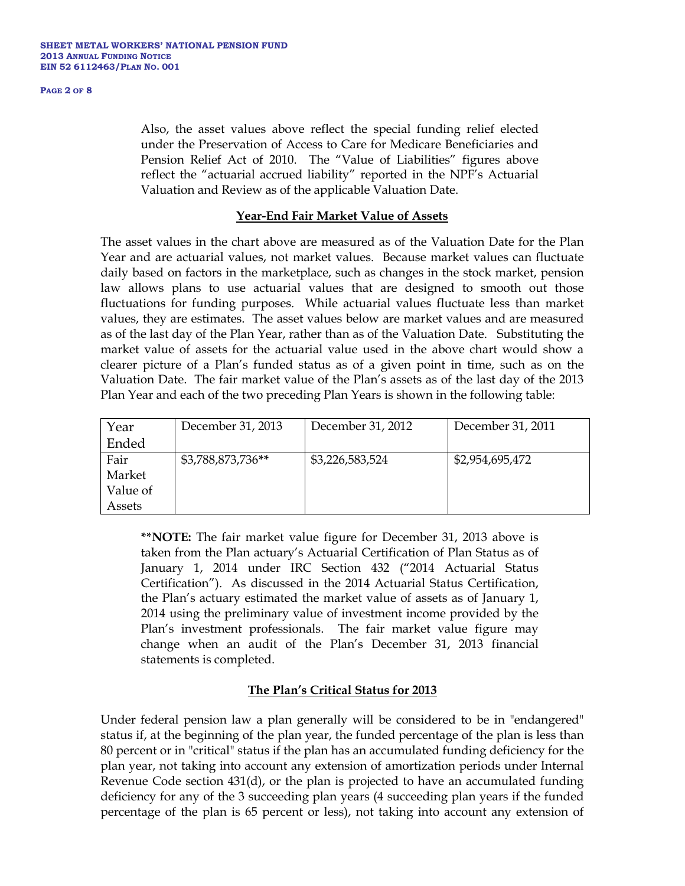#### **PAGE 2 OF 8**

Also, the asset values above reflect the special funding relief elected under the Preservation of Access to Care for Medicare Beneficiaries and Pension Relief Act of 2010. The "Value of Liabilities" figures above reflect the "actuarial accrued liability" reported in the NPF's Actuarial Valuation and Review as of the applicable Valuation Date.

#### **Year-End Fair Market Value of Assets**

The asset values in the chart above are measured as of the Valuation Date for the Plan Year and are actuarial values, not market values. Because market values can fluctuate daily based on factors in the marketplace, such as changes in the stock market, pension law allows plans to use actuarial values that are designed to smooth out those fluctuations for funding purposes. While actuarial values fluctuate less than market values, they are estimates. The asset values below are market values and are measured as of the last day of the Plan Year, rather than as of the Valuation Date. Substituting the market value of assets for the actuarial value used in the above chart would show a clearer picture of a Plan's funded status as of a given point in time, such as on the Valuation Date. The fair market value of the Plan's assets as of the last day of the 2013 Plan Year and each of the two preceding Plan Years is shown in the following table:

| Year     | December 31, 2013 | December 31, 2012 | December 31, 2011 |
|----------|-------------------|-------------------|-------------------|
| Ended    |                   |                   |                   |
| Fair     | \$3,788,873,736** | \$3,226,583,524   | \$2,954,695,472   |
| Market   |                   |                   |                   |
| Value of |                   |                   |                   |
| Assets   |                   |                   |                   |

**\*\*NOTE:** The fair market value figure for December 31, 2013 above is taken from the Plan actuary's Actuarial Certification of Plan Status as of January 1, 2014 under IRC Section 432 ("2014 Actuarial Status Certification"). As discussed in the 2014 Actuarial Status Certification, the Plan's actuary estimated the market value of assets as of January 1, 2014 using the preliminary value of investment income provided by the Plan's investment professionals. The fair market value figure may change when an audit of the Plan's December 31, 2013 financial statements is completed.

# **The Plan's Critical Status for 2013**

Under federal pension law a plan generally will be considered to be in "endangered" status if, at the beginning of the plan year, the funded percentage of the plan is less than 80 percent or in "critical" status if the plan has an accumulated funding deficiency for the plan year, not taking into account any extension of amortization periods under Internal Revenue Code section 431(d), or the plan is projected to have an accumulated funding deficiency for any of the 3 succeeding plan years (4 succeeding plan years if the funded percentage of the plan is 65 percent or less), not taking into account any extension of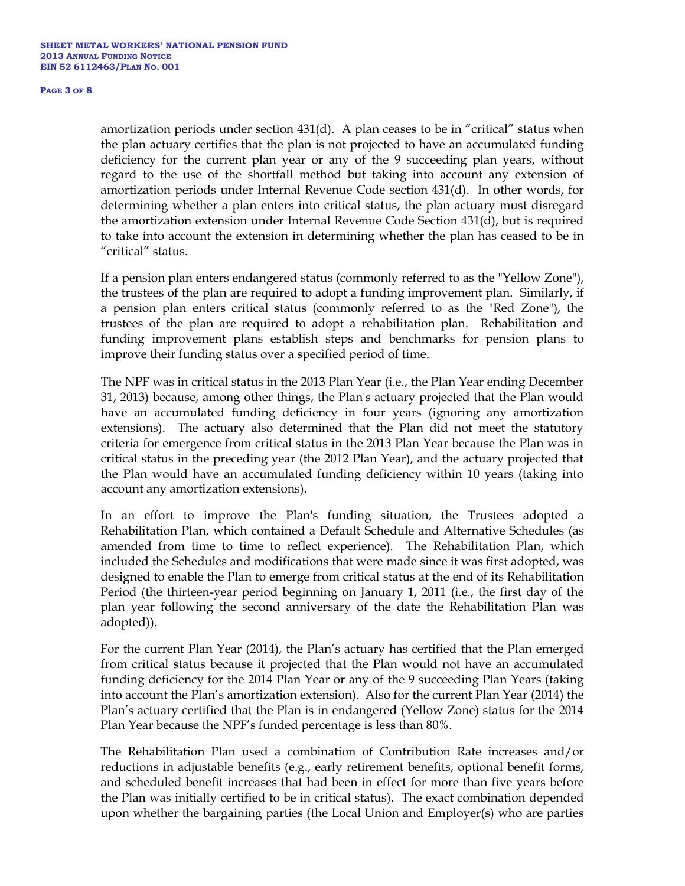#### **PAGE 3 OF 8**

amortization periods under section 431(d). A plan ceases to be in "critical" status when the plan actuary certifies that the plan is not projected to have an accumulated funding deficiency for the current plan year or any of the 9 succeeding plan years, without regard to the use of the shortfall method but taking into account any extension of amortization periods under Internal Revenue Code section 431(d). In other words, for determining whether a plan enters into critical status, the plan actuary must disregard the amortization extension under Internal Revenue Code Section 431(d), but is required to take into account the extension in determining whether the plan has ceased to be in "critical" status.

If a pension plan enters endangered status (commonly referred to as the "Yellow Zone"), the trustees of the plan are required to adopt a funding improvement plan. Similarly, if a pension plan enters critical status (commonly referred to as the "Red Zone"), the trustees of the plan are required to adopt a rehabilitation plan. Rehabilitation and funding improvement plans establish steps and benchmarks for pension plans to improve their funding status over a specified period of time.

The NPF was in critical status in the 2013 Plan Year (i.e., the Plan Year ending December 31, 2013) because, among other things, the Plan's actuary projected that the Plan would have an accumulated funding deficiency in four years (ignoring any amortization extensions). The actuary also determined that the Plan did not meet the statutory criteria for emergence from critical status in the 2013 Plan Year because the Plan was in critical status in the preceding year (the 2012 Plan Year), and the actuary projected that the Plan would have an accumulated funding deficiency within 10 years (taking into account any amortization extensions).

In an effort to improve the Plan's funding situation, the Trustees adopted a Rehabilitation Plan, which contained a Default Schedule and Alternative Schedules (as amended from time to time to reflect experience). The Rehabilitation Plan, which included the Schedules and modifications that were made since it was first adopted, was designed to enable the Plan to emerge from critical status at the end of its Rehabilitation Period (the thirteen-year period beginning on January 1, 2011 (i.e., the first day of the plan year following the second anniversary of the date the Rehabilitation Plan was adopted)).

For the current Plan Year (2014), the Plan's actuary has certified that the Plan emerged from critical status because it projected that the Plan would not have an accumulated funding deficiency for the 2014 Plan Year or any of the 9 succeeding Plan Years (taking into account the Plan's amortization extension). Also for the current Plan Year (2014) the Plan's actuary certified that the Plan is in endangered (Yellow Zone) status for the 2014 Plan Year because the NPF's funded percentage is less than 80%.

The Rehabilitation Plan used a combination of Contribution Rate increases and/or reductions in adjustable benefits (e.g., early retirement benefits, optional benefit forms, and scheduled benefit increases that had been in effect for more than five years before the Plan was initially certified to be in critical status). The exact combination depended upon whether the bargaining parties (the Local Union and Employer(s) who are parties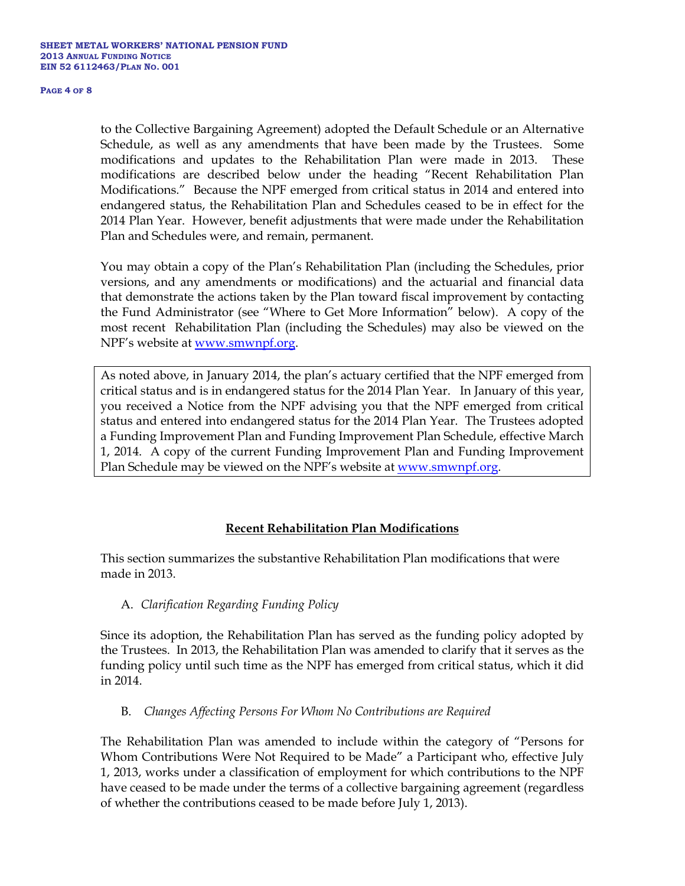#### **PAGE 4 OF 8**

to the Collective Bargaining Agreement) adopted the Default Schedule or an Alternative Schedule, as well as any amendments that have been made by the Trustees. Some modifications and updates to the Rehabilitation Plan were made in 2013. These modifications are described below under the heading "Recent Rehabilitation Plan Modifications." Because the NPF emerged from critical status in 2014 and entered into endangered status, the Rehabilitation Plan and Schedules ceased to be in effect for the 2014 Plan Year. However, benefit adjustments that were made under the Rehabilitation Plan and Schedules were, and remain, permanent.

You may obtain a copy of the Plan's Rehabilitation Plan (including the Schedules, prior versions, and any amendments or modifications) and the actuarial and financial data that demonstrate the actions taken by the Plan toward fiscal improvement by contacting the Fund Administrator (see "Where to Get More Information" below). A copy of the most recent Rehabilitation Plan (including the Schedules) may also be viewed on the NPF's website at [www.smwnpf.org.](http://www.smwnpf.org/)

As noted above, in January 2014, the plan's actuary certified that the NPF emerged from critical status and is in endangered status for the 2014 Plan Year. In January of this year, you received a Notice from the NPF advising you that the NPF emerged from critical status and entered into endangered status for the 2014 Plan Year. The Trustees adopted a Funding Improvement Plan and Funding Improvement Plan Schedule, effective March 1, 2014. A copy of the current Funding Improvement Plan and Funding Improvement Plan Schedule may be viewed on the NPF's website at [www.smwnpf.org.](http://www.smwnpf.org/)

# **Recent Rehabilitation Plan Modifications**

This section summarizes the substantive Rehabilitation Plan modifications that were made in 2013.

## A. *Clarification Regarding Funding Policy*

Since its adoption, the Rehabilitation Plan has served as the funding policy adopted by the Trustees. In 2013, the Rehabilitation Plan was amended to clarify that it serves as the funding policy until such time as the NPF has emerged from critical status, which it did in 2014.

## B. *Changes Affecting Persons For Whom No Contributions are Required*

The Rehabilitation Plan was amended to include within the category of "Persons for Whom Contributions Were Not Required to be Made" a Participant who, effective July 1, 2013, works under a classification of employment for which contributions to the NPF have ceased to be made under the terms of a collective bargaining agreement (regardless of whether the contributions ceased to be made before July 1, 2013).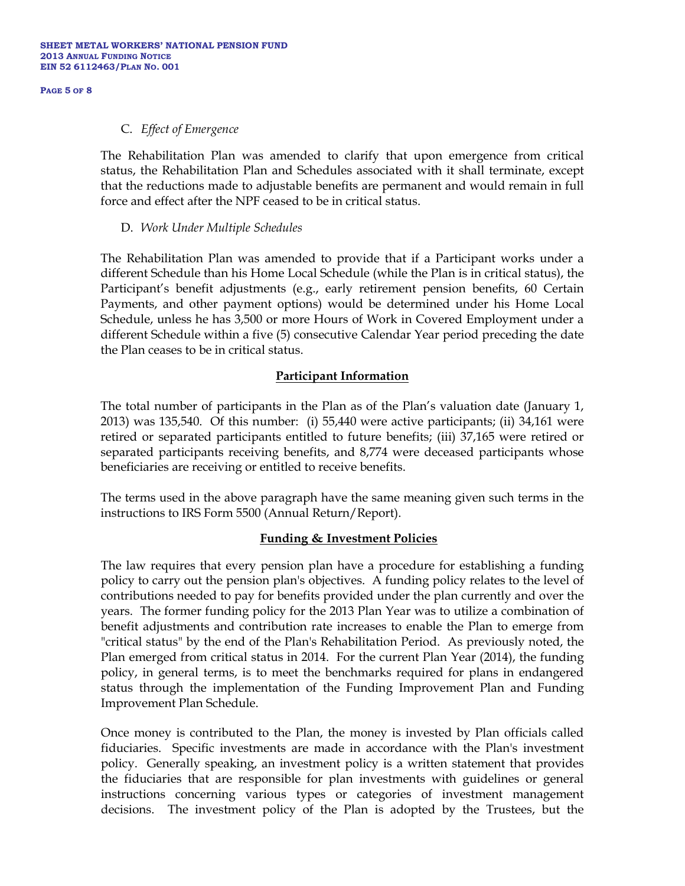#### **PAGE 5 OF 8**

#### C. *Effect of Emergence*

The Rehabilitation Plan was amended to clarify that upon emergence from critical status, the Rehabilitation Plan and Schedules associated with it shall terminate, except that the reductions made to adjustable benefits are permanent and would remain in full force and effect after the NPF ceased to be in critical status.

## D. *Work Under Multiple Schedules*

The Rehabilitation Plan was amended to provide that if a Participant works under a different Schedule than his Home Local Schedule (while the Plan is in critical status), the Participant's benefit adjustments (e.g., early retirement pension benefits, 60 Certain Payments, and other payment options) would be determined under his Home Local Schedule, unless he has 3,500 or more Hours of Work in Covered Employment under a different Schedule within a five (5) consecutive Calendar Year period preceding the date the Plan ceases to be in critical status.

## **Participant Information**

The total number of participants in the Plan as of the Plan's valuation date (January 1, 2013) was 135,540. Of this number: (i) 55,440 were active participants; (ii) 34,161 were retired or separated participants entitled to future benefits; (iii) 37,165 were retired or separated participants receiving benefits, and 8,774 were deceased participants whose beneficiaries are receiving or entitled to receive benefits.

The terms used in the above paragraph have the same meaning given such terms in the instructions to IRS Form 5500 (Annual Return/Report).

## **Funding & Investment Policies**

The law requires that every pension plan have a procedure for establishing a funding policy to carry out the pension plan's objectives. A funding policy relates to the level of contributions needed to pay for benefits provided under the plan currently and over the years. The former funding policy for the 2013 Plan Year was to utilize a combination of benefit adjustments and contribution rate increases to enable the Plan to emerge from "critical status" by the end of the Plan's Rehabilitation Period. As previously noted, the Plan emerged from critical status in 2014. For the current Plan Year (2014), the funding policy, in general terms, is to meet the benchmarks required for plans in endangered status through the implementation of the Funding Improvement Plan and Funding Improvement Plan Schedule.

Once money is contributed to the Plan, the money is invested by Plan officials called fiduciaries. Specific investments are made in accordance with the Plan's investment policy. Generally speaking, an investment policy is a written statement that provides the fiduciaries that are responsible for plan investments with guidelines or general instructions concerning various types or categories of investment management decisions. The investment policy of the Plan is adopted by the Trustees, but the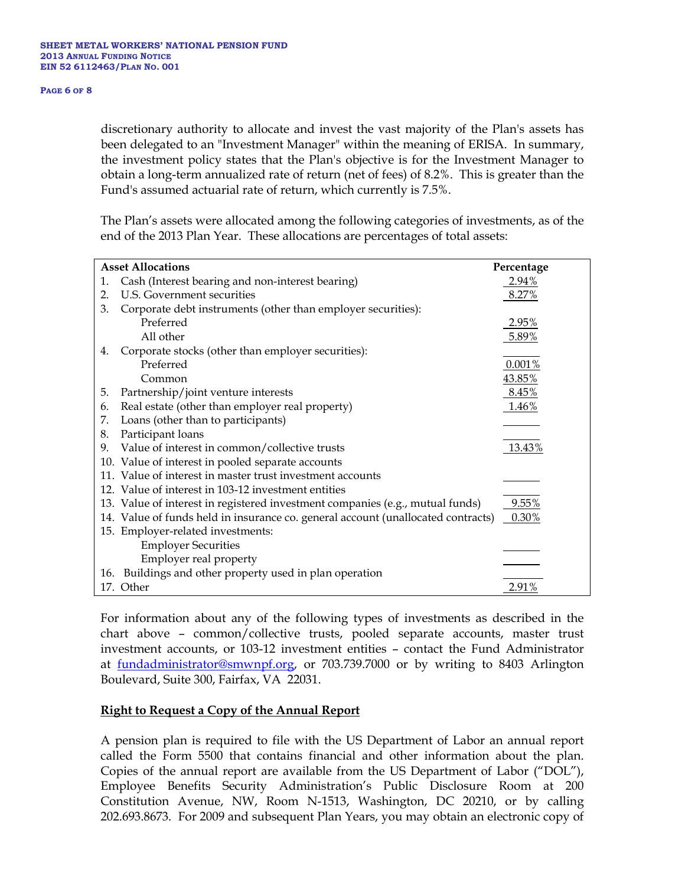#### **PAGE 6 OF 8**

discretionary authority to allocate and invest the vast majority of the Plan's assets has been delegated to an "Investment Manager" within the meaning of ERISA. In summary, the investment policy states that the Plan's objective is for the Investment Manager to obtain a long-term annualized rate of return (net of fees) of 8.2%. This is greater than the Fund's assumed actuarial rate of return, which currently is 7.5%.

The Plan's assets were allocated among the following categories of investments, as of the end of the 2013 Plan Year. These allocations are percentages of total assets:

| <b>Asset Allocations</b> |                                                                                  | Percentage |
|--------------------------|----------------------------------------------------------------------------------|------------|
| 1.                       | Cash (Interest bearing and non-interest bearing)                                 | 2.94%      |
| 2.                       | U.S. Government securities                                                       | 8.27%      |
| 3.                       | Corporate debt instruments (other than employer securities):                     |            |
|                          | Preferred                                                                        | 2.95%      |
|                          | All other                                                                        | 5.89%      |
| 4.                       | Corporate stocks (other than employer securities):                               |            |
|                          | Preferred                                                                        | 0.001%     |
|                          | Common                                                                           | 43.85%     |
| 5.                       | Partnership/joint venture interests                                              | 8.45%      |
| 6.                       | Real estate (other than employer real property)                                  | 1.46%      |
| 7.                       | Loans (other than to participants)                                               |            |
| 8.                       | Participant loans                                                                |            |
| 9.                       | Value of interest in common/collective trusts                                    | 13.43%     |
|                          | 10. Value of interest in pooled separate accounts                                |            |
|                          | 11. Value of interest in master trust investment accounts                        |            |
|                          | 12. Value of interest in 103-12 investment entities                              |            |
|                          | 13. Value of interest in registered investment companies (e.g., mutual funds)    | 9.55%      |
|                          | 14. Value of funds held in insurance co. general account (unallocated contracts) | 0.30%      |
|                          | 15. Employer-related investments:                                                |            |
|                          | <b>Employer Securities</b>                                                       |            |
|                          | Employer real property                                                           |            |
|                          | 16. Buildings and other property used in plan operation                          |            |
|                          | 17. Other                                                                        | 2.91%      |

For information about any of the following types of investments as described in the chart above – common/collective trusts, pooled separate accounts, master trust investment accounts, or 103-12 investment entities – contact the Fund Administrator at [fundadministrator@smwnpf.org,](mailto:fundadministrator@smwnpf.org) or 703.739.7000 or by writing to 8403 Arlington Boulevard, Suite 300, Fairfax, VA 22031.

## **Right to Request a Copy of the Annual Report**

A pension plan is required to file with the US Department of Labor an annual report called the Form 5500 that contains financial and other information about the plan. Copies of the annual report are available from the US Department of Labor ("DOL"), Employee Benefits Security Administration's Public Disclosure Room at 200 Constitution Avenue, NW, Room N-1513, Washington, DC 20210, or by calling 202.693.8673. For 2009 and subsequent Plan Years, you may obtain an electronic copy of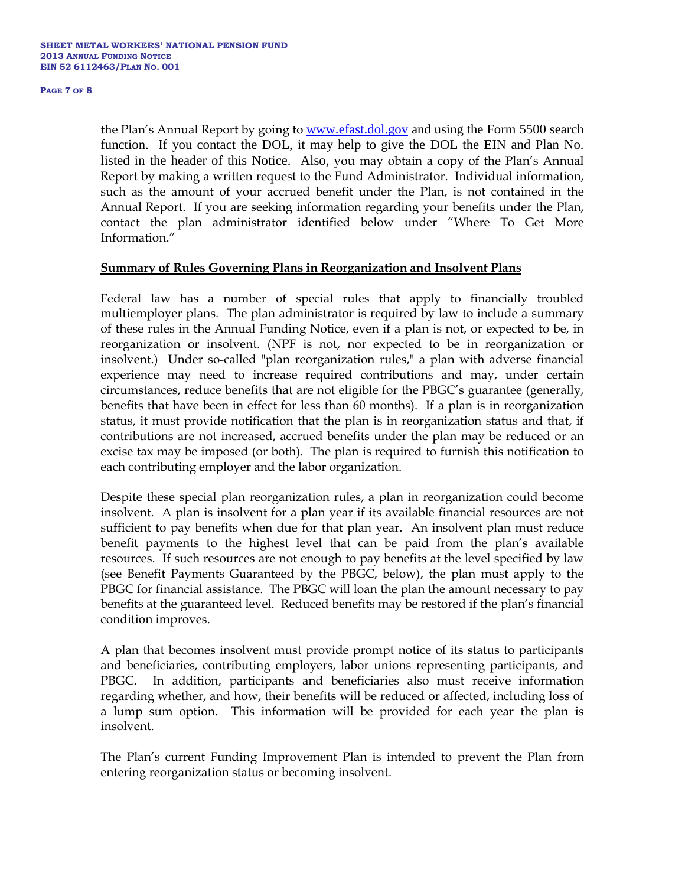#### **PAGE 7 OF 8**

the Plan's Annual Report by going to [www.efast.dol.gov](http://www.efast.dol.gov/) and using the Form 5500 search function. If you contact the DOL, it may help to give the DOL the EIN and Plan No. listed in the header of this Notice. Also, you may obtain a copy of the Plan's Annual Report by making a written request to the Fund Administrator. Individual information, such as the amount of your accrued benefit under the Plan, is not contained in the Annual Report. If you are seeking information regarding your benefits under the Plan, contact the plan administrator identified below under "Where To Get More Information."

#### **Summary of Rules Governing Plans in Reorganization and Insolvent Plans**

Federal law has a number of special rules that apply to financially troubled multiemployer plans. The plan administrator is required by law to include a summary of these rules in the Annual Funding Notice, even if a plan is not, or expected to be, in reorganization or insolvent. (NPF is not, nor expected to be in reorganization or insolvent.) Under so-called "plan reorganization rules," a plan with adverse financial experience may need to increase required contributions and may, under certain circumstances, reduce benefits that are not eligible for the PBGC's guarantee (generally, benefits that have been in effect for less than 60 months). If a plan is in reorganization status, it must provide notification that the plan is in reorganization status and that, if contributions are not increased, accrued benefits under the plan may be reduced or an excise tax may be imposed (or both). The plan is required to furnish this notification to each contributing employer and the labor organization.

Despite these special plan reorganization rules, a plan in reorganization could become insolvent. A plan is insolvent for a plan year if its available financial resources are not sufficient to pay benefits when due for that plan year. An insolvent plan must reduce benefit payments to the highest level that can be paid from the plan's available resources. If such resources are not enough to pay benefits at the level specified by law (see Benefit Payments Guaranteed by the PBGC, below), the plan must apply to the PBGC for financial assistance. The PBGC will loan the plan the amount necessary to pay benefits at the guaranteed level. Reduced benefits may be restored if the plan's financial condition improves.

A plan that becomes insolvent must provide prompt notice of its status to participants and beneficiaries, contributing employers, labor unions representing participants, and PBGC. In addition, participants and beneficiaries also must receive information regarding whether, and how, their benefits will be reduced or affected, including loss of a lump sum option. This information will be provided for each year the plan is insolvent.

The Plan's current Funding Improvement Plan is intended to prevent the Plan from entering reorganization status or becoming insolvent.